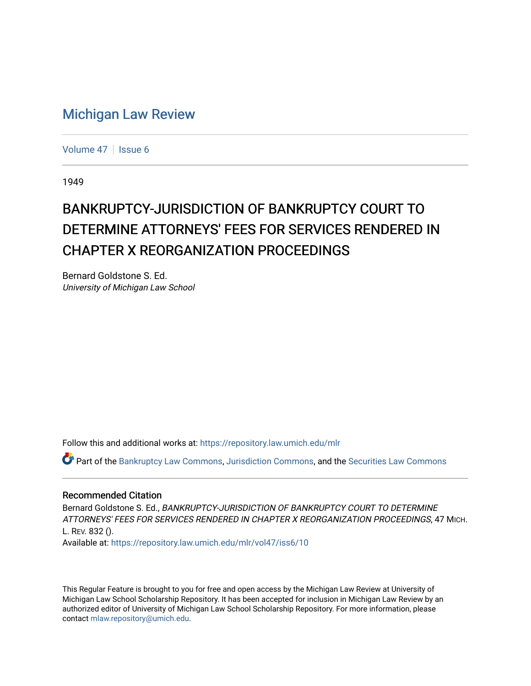## [Michigan Law Review](https://repository.law.umich.edu/mlr)

[Volume 47](https://repository.law.umich.edu/mlr/vol47) | [Issue 6](https://repository.law.umich.edu/mlr/vol47/iss6)

1949

## BANKRUPTCY-JURISDICTION OF BANKRUPTCY COURT TO DETERMINE ATTORNEYS' FEES FOR SERVICES RENDERED IN CHAPTER X REORGANIZATION PROCEEDINGS

Bernard Goldstone S. Ed. University of Michigan Law School

Follow this and additional works at: [https://repository.law.umich.edu/mlr](https://repository.law.umich.edu/mlr?utm_source=repository.law.umich.edu%2Fmlr%2Fvol47%2Fiss6%2F10&utm_medium=PDF&utm_campaign=PDFCoverPages) 

Part of the [Bankruptcy Law Commons,](http://network.bepress.com/hgg/discipline/583?utm_source=repository.law.umich.edu%2Fmlr%2Fvol47%2Fiss6%2F10&utm_medium=PDF&utm_campaign=PDFCoverPages) [Jurisdiction Commons,](http://network.bepress.com/hgg/discipline/850?utm_source=repository.law.umich.edu%2Fmlr%2Fvol47%2Fiss6%2F10&utm_medium=PDF&utm_campaign=PDFCoverPages) and the [Securities Law Commons](http://network.bepress.com/hgg/discipline/619?utm_source=repository.law.umich.edu%2Fmlr%2Fvol47%2Fiss6%2F10&utm_medium=PDF&utm_campaign=PDFCoverPages)

## Recommended Citation

Bernard Goldstone S. Ed., BANKRUPTCY-JURISDICTION OF BANKRUPTCY COURT TO DETERMINE ATTORNEYS' FEES FOR SERVICES RENDERED IN CHAPTER X REORGANIZATION PROCEEDINGS, 47 MICH. L. REV. 832 ().

Available at: [https://repository.law.umich.edu/mlr/vol47/iss6/10](https://repository.law.umich.edu/mlr/vol47/iss6/10?utm_source=repository.law.umich.edu%2Fmlr%2Fvol47%2Fiss6%2F10&utm_medium=PDF&utm_campaign=PDFCoverPages) 

This Regular Feature is brought to you for free and open access by the Michigan Law Review at University of Michigan Law School Scholarship Repository. It has been accepted for inclusion in Michigan Law Review by an authorized editor of University of Michigan Law School Scholarship Repository. For more information, please contact [mlaw.repository@umich.edu](mailto:mlaw.repository@umich.edu).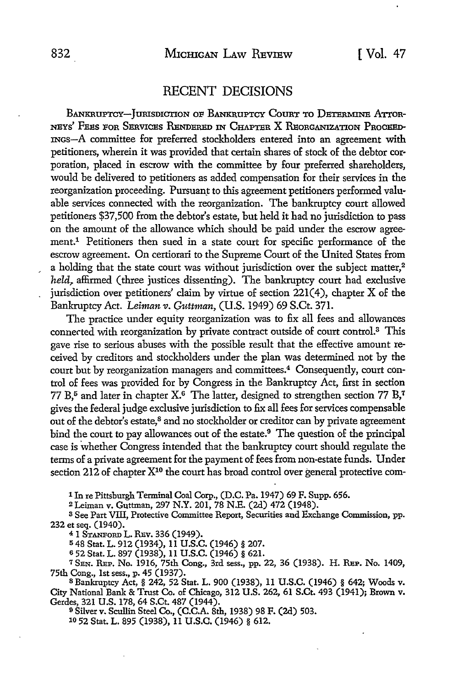## RECENT DECISIONS

BANKRUPTCY-JURISDICTION OF BANKRUPTCY COURT TO DETERMINE ATTOR-NEYS' FEES POR SERVICES RENDERED IN CHAPTER X RBoRGANIZATION PRoCEED-INGs-A committee for preferred stockholders entered into an agreement **with**  petitioners, wherein it was provided that certain shares of stock of the debtor corporation, placed in escrow with the committee by four preferred shareholders, would be delivered to petitioners as added compensation for their services in the reorganization proceeding. Pursuant to this agreement petitioners performed valuable services connected with the reorganization. The bankruptcy court allowed petitioners \$37,500 from the debtor's estate, but held it had no jurisdiction to pass on the amount of the allowance which should be paid under the escrow agreement.1 Petitioners then sued in a state court for specific performance of the escrow agreement. On certiorari to the Supreme Court of the United States from a holding that the state court was without jurisdiction over the subject matter,<sup>2</sup> *held*, affirmed (three justices dissenting). The bankruptcy court had exclusive jurisdiction over petitioners' claim by virtue of section  $221(4)$ , chapter X of the Bankruptcy Act. *Leiman v. Guttman*, *(U.S. 1949) 69 S.Ct. 371.* 

The practice under equity reorganization was to fix all fees and allowances connected with reorganization by private contract outside of court control.3 This gave rise to serious abuses with the possible result that the effective amount received by creditors and stockholders under the plan was determined not by the court but by reorganization managers and committees.<sup>4</sup> Consequently, court control of fees was provided for by Congress in the Bankruptcy *Act,* first in section 77 B,<sup>5</sup> and later in chapter  $X^6$ . The latter, designed to strengthen section 77 B,<sup>7</sup> gives the federal judge exclusive jurisdiction to fix all fees for services compensable out of the debtor's estate,8 and no stockholder or creditor can by private agreement bind the court to pay allowances out of the estate.<sup>9</sup> The question of the principal case is whether Congress intended that the bankruptcy court should regulate the terms of a private agreement for the payment of fees from non-estate funds. Under section 212 of chapter  $X^{10}$  the court has broad control over general protective com-

1 In re Pittsburgh Terminal Coal Corp., (D.C. Pa. 1947) 69 F. Supp. 656.

<sup>2</sup>Leiman v. Guttman, 297 N.Y. 201, 78 N.E. (2d) 472 (1948).

s See Part Vill, Protective Committee Report, Securities and Exchange Commission, pp. 232 et seq. (1940).

4 1 STANFORD L. REV. 336 (1949).

<sup>5</sup>48 Stat. L. 912 (1934), 11 U.S.C. (1946) § 207.

s 52 Stat. L. 897 (1938), 11 U.S.C. (1946) § 621.

<sup>7</sup> SEN. REP. No. 1916, 75th Cong., 3rd sess., pp. 22, 36 (1938). H. REP. No. 1409, 75th Cong., 1st sess., p. 45 (1937).<br><sup>8</sup> Bankruptcy Act, § 242, 52 Stat. L. 900 (1938), 11 U.S.C. (1946) § 642; Woods v.

City National Bank & Trust Co. of Chicago, 312 U.S. 262, 61 S.Ct. 493 (1941); Brown v. Gerdes, 321 U.S. 178, 64 S.Ct. 487 (1944).

<sup>9</sup>Silver v. Scullin Steel Co., (C.C.A. 8th, 1938) 98 F. (2d) 503.

10 52 Stat. L. 895 (1938), 11 U.S.C. (1946) § 612.